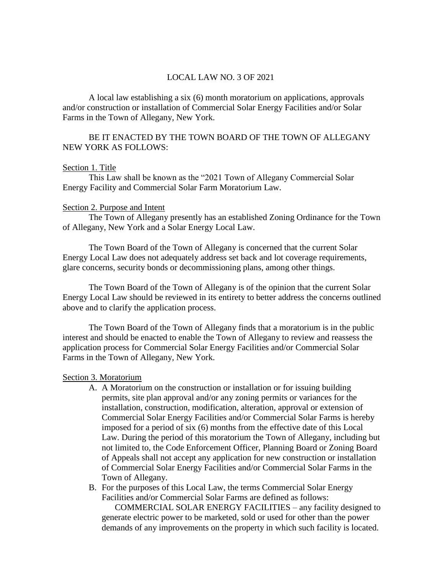# LOCAL LAW NO. 3 OF 2021

A local law establishing a six (6) month moratorium on applications, approvals and/or construction or installation of Commercial Solar Energy Facilities and/or Solar Farms in the Town of Allegany, New York.

# BE IT ENACTED BY THE TOWN BOARD OF THE TOWN OF ALLEGANY NEW YORK AS FOLLOWS:

### Section 1. Title

This Law shall be known as the "2021 Town of Allegany Commercial Solar Energy Facility and Commercial Solar Farm Moratorium Law.

### Section 2. Purpose and Intent

The Town of Allegany presently has an established Zoning Ordinance for the Town of Allegany, New York and a Solar Energy Local Law.

The Town Board of the Town of Allegany is concerned that the current Solar Energy Local Law does not adequately address set back and lot coverage requirements, glare concerns, security bonds or decommissioning plans, among other things.

The Town Board of the Town of Allegany is of the opinion that the current Solar Energy Local Law should be reviewed in its entirety to better address the concerns outlined above and to clarify the application process.

The Town Board of the Town of Allegany finds that a moratorium is in the public interest and should be enacted to enable the Town of Allegany to review and reassess the application process for Commercial Solar Energy Facilities and/or Commercial Solar Farms in the Town of Allegany, New York.

#### Section 3. Moratorium

- A. A Moratorium on the construction or installation or for issuing building permits, site plan approval and/or any zoning permits or variances for the installation, construction, modification, alteration, approval or extension of Commercial Solar Energy Facilities and/or Commercial Solar Farms is hereby imposed for a period of six (6) months from the effective date of this Local Law. During the period of this moratorium the Town of Allegany, including but not limited to, the Code Enforcement Officer, Planning Board or Zoning Board of Appeals shall not accept any application for new construction or installation of Commercial Solar Energy Facilities and/or Commercial Solar Farms in the Town of Allegany.
- B. For the purposes of this Local Law, the terms Commercial Solar Energy Facilities and/or Commercial Solar Farms are defined as follows:

COMMERCIAL SOLAR ENERGY FACILITIES – any facility designed to generate electric power to be marketed, sold or used for other than the power demands of any improvements on the property in which such facility is located.